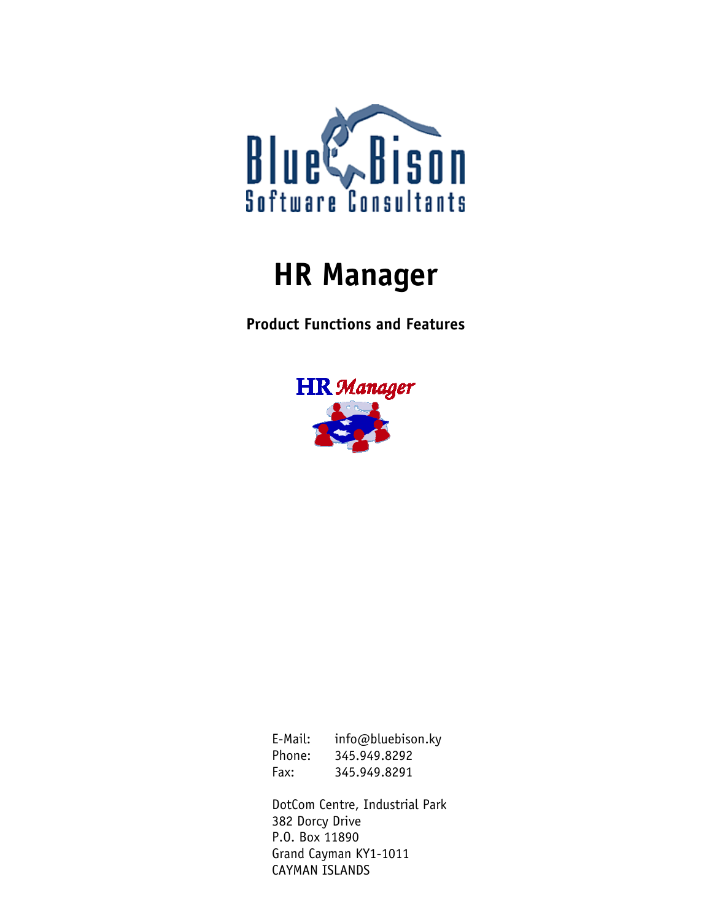

# **HR Manager**

**Product Functions and Features** 



E-Mail: info@bluebison.ky Phone: 345.949.8292 Fax: 345.949.8291

DotCom Centre, Industrial Park 382 Dorcy Drive P.O. Box 11890 Grand Cayman KY1-1011 CAYMAN ISLANDS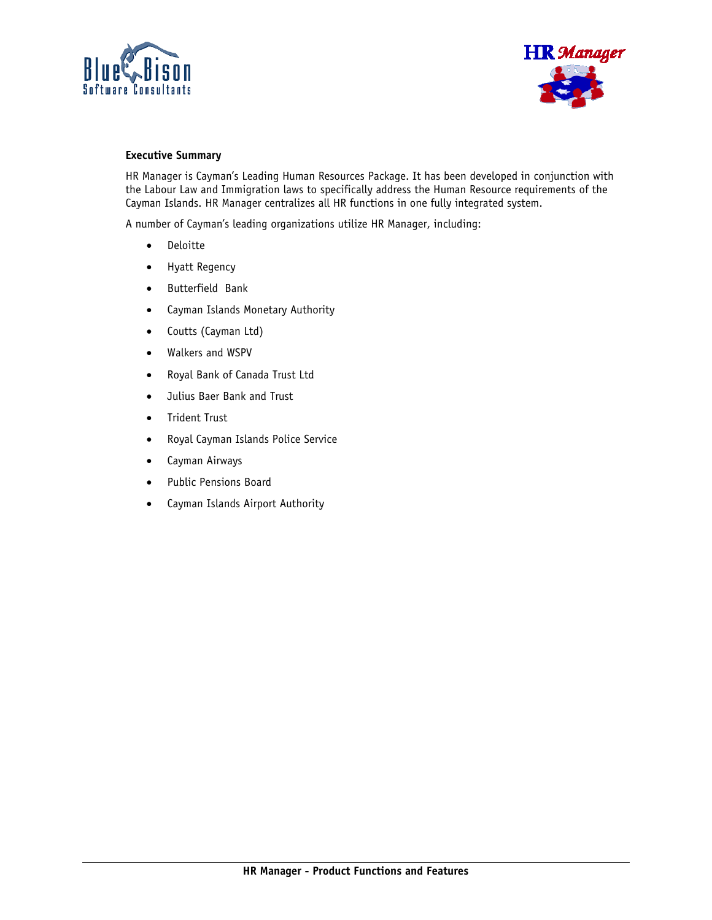



### **Executive Summary**

HR Manager is Cayman's Leading Human Resources Package. It has been developed in conjunction with the Labour Law and Immigration laws to specifically address the Human Resource requirements of the Cayman Islands. HR Manager centralizes all HR functions in one fully integrated system.

A number of Cayman's leading organizations utilize HR Manager, including:

- Deloitte
- Hyatt Regency
- Butterfield Bank
- Cayman Islands Monetary Authority
- Coutts (Cayman Ltd)
- Walkers and WSPV
- Royal Bank of Canada Trust Ltd
- Julius Baer Bank and Trust
- Trident Trust
- Royal Cayman Islands Police Service
- Cayman Airways
- Public Pensions Board
- Cayman Islands Airport Authority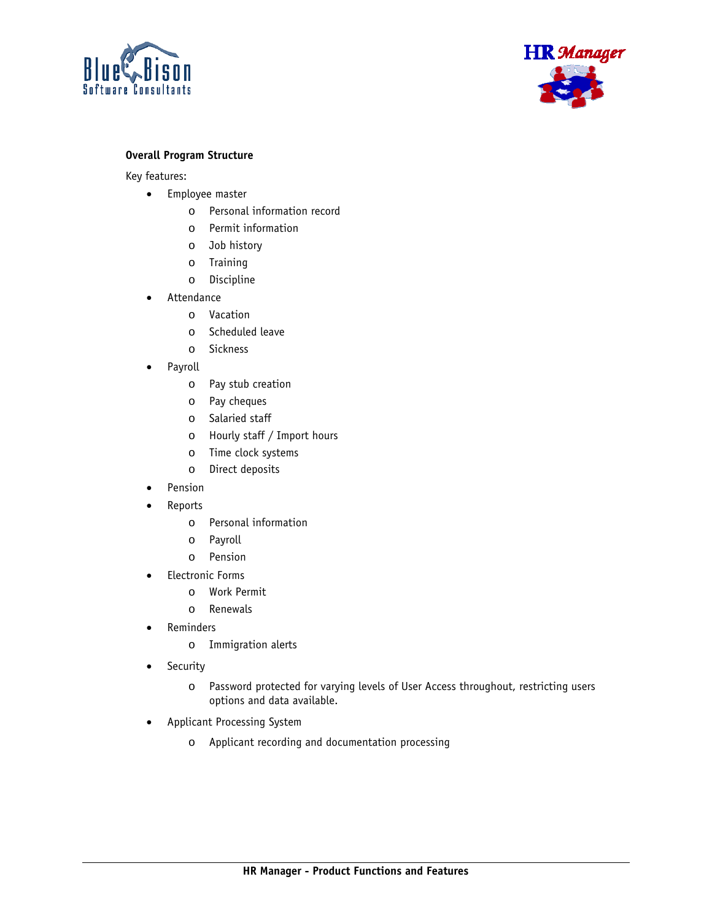



# **Overall Program Structure**

Key features:

- Employee master
	- o Personal information record
	- o Permit information
	- o Job history
	- o Training
	- o Discipline
- **Attendance** 
	- o Vacation
	- o Scheduled leave
	- o Sickness
- Payroll
	- o Pay stub creation
	- o Pay cheques
	- o Salaried staff
	- o Hourly staff / Import hours
	- o Time clock systems
	- o Direct deposits
- **Pension**
- **Reports** 
	- o Personal information
	- o Payroll
	- o Pension
- Electronic Forms
	- o Work Permit
	- o Renewals
- **Reminders** 
	- o Immigration alerts
- Security
	- o Password protected for varying levels of User Access throughout, restricting users options and data available.
- Applicant Processing System
	- o Applicant recording and documentation processing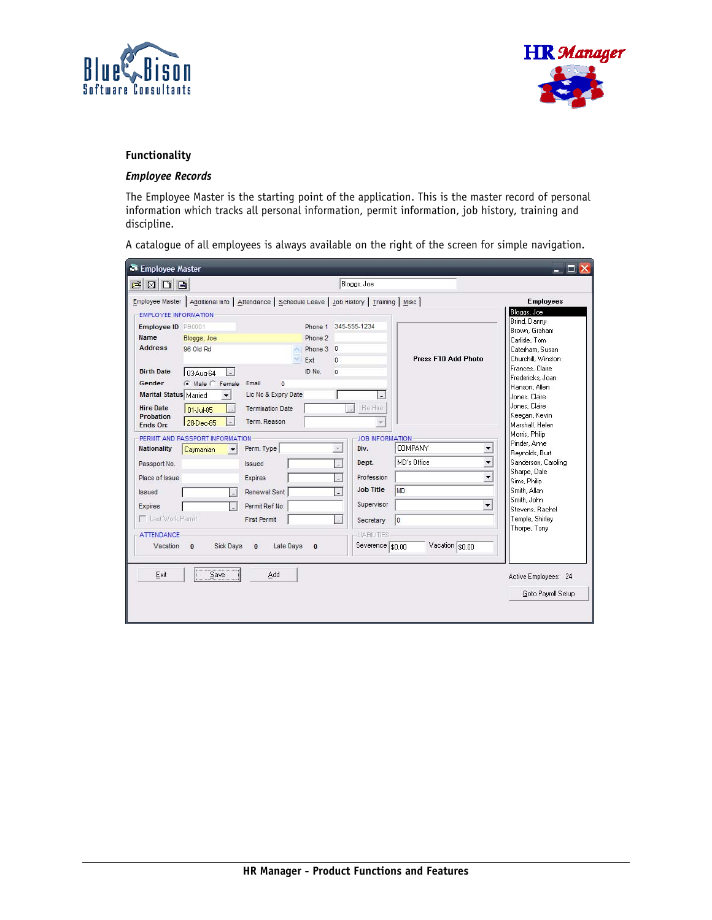



# **Functionality**

# *Employee Records*

The Employee Master is the starting point of the application. This is the master record of personal information which tracks all personal information, permit information, job history, training and discipline.

A catalogue of all employees is always available on the right of the screen for simple navigation.

| Employee Master                                                                                                                                           |                                                                                                                                                   |                                                                                                                                     |                                       |                                                                                                                                                                 |                                                                | $ \Box$ $\times$                                                                                                                                                                                                                        |
|-----------------------------------------------------------------------------------------------------------------------------------------------------------|---------------------------------------------------------------------------------------------------------------------------------------------------|-------------------------------------------------------------------------------------------------------------------------------------|---------------------------------------|-----------------------------------------------------------------------------------------------------------------------------------------------------------------|----------------------------------------------------------------|-----------------------------------------------------------------------------------------------------------------------------------------------------------------------------------------------------------------------------------------|
| $B$ $D$ $B$                                                                                                                                               |                                                                                                                                                   |                                                                                                                                     |                                       | Bloggs, Joe                                                                                                                                                     |                                                                |                                                                                                                                                                                                                                         |
| <b>EMPLOYEE INFORMATION</b>                                                                                                                               |                                                                                                                                                   |                                                                                                                                     |                                       | Employee Master   Additional Info   Attendance   Schedule Leave   Job History   Training   Misc                                                                 |                                                                | <b>Employees</b><br>Bloggs, Joe                                                                                                                                                                                                         |
| Employee ID PB0001<br>Name<br><b>Address</b><br><b>Birth Date</b><br>Gender<br><b>Marital Status Married</b><br><b>Hire Date</b><br>Probation<br>Ends On: | Bloggs, Joe<br>96 Old Rd<br>03-Aug-64<br>$\vert \ldots \vert$<br>C Male C Female Email<br>$\cdot$<br>01-Jul-85<br>$\ldots$<br>28-Dec-85<br>$\sim$ | $\Omega$<br>Lic No & Expry Date<br><b>Termination Date</b><br>Term, Reason                                                          | Phone 2<br>Phone 3 0<br>Ext<br>ID No. | Phone 1 345-555-1234<br>$\Omega$<br>$\Omega$<br>Re-Hire<br>$\Box$                                                                                               | Press F10 Add Photo                                            | Brind, Danny<br>Brown, Graham<br>Carlisle, Tom<br>Caterham, Susan<br>Churchill, Winston<br>Frances, Claire<br>Fredericks, Joan<br>Hanson, Allen<br>Jones, Claire<br>Jones, Claire<br>Keegan, Kevin<br>Marshall, Helen                   |
| <b>Nationality</b><br>Passport No.<br>Place of Issue<br><b>Issued</b><br>Expires<br>Last Work Permit<br><b>ATTENDANCE</b><br>Vacation                     | PERMIT AND PASSPORT INFORMATION<br>Caymanian<br>$\overline{\phantom{a}}$<br>$\ldots$<br>$\overline{\phantom{a}}$<br>Sick Days<br>$\bf{0}$         | Perm. Type<br><i><b>Issued</b></i><br>Expires<br>Renewal Sent<br>Permit Ref No:<br><b>First Permit</b><br>Late Days<br>$\mathbf{0}$ | $\bf{0}$                              | <b>JOB INFORMATION</b><br>Div.<br>$\sim$<br>Dept.<br>Profession<br><b>Job Title</b><br>m.<br>Supervisor<br>Secretary<br><b>I JABILITIES</b><br>Severence \$0.00 | <b>COMPANY</b><br>MD's Office<br>MD.<br> 0 <br>Vacation \$0.00 | Morris, Philip<br>Pinder, Anne<br>▼<br>Reynolds, Burt<br>$\overline{\phantom{a}}$<br>Sanderson, Caroling<br>Sharpe, Dale<br>▼<br>Sims, Philip<br>Smith, Allan<br>Smith, John<br>▼<br>Stevens, Rachel<br>Temple, Shirley<br>Thorpe, Tony |
| Exit                                                                                                                                                      | Save                                                                                                                                              | Add                                                                                                                                 |                                       |                                                                                                                                                                 |                                                                | Active Employees: 24<br>Goto Payroll Setup                                                                                                                                                                                              |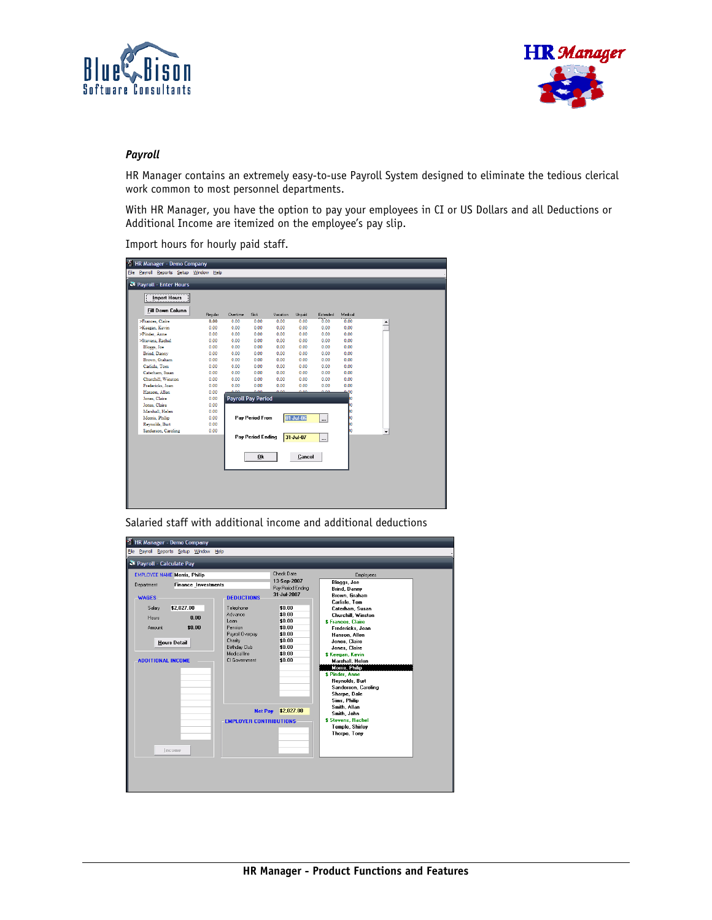



## *Payroll*

HR Manager contains an extremely easy-to-use Payroll System designed to eliminate the tedious clerical work common to most personnel departments.

With HR Manager, you have the option to pay your employees in CI or US Dollars and all Deductions or Additional Income are itemized on the employee's pay slip.

Import hours for hourly paid staff.

| HR Manager - Demo Company              |         |                           |                        |          |           |           |         |  |
|----------------------------------------|---------|---------------------------|------------------------|----------|-----------|-----------|---------|--|
| File Payroll Reports Setup Window Help |         |                           |                        |          |           |           |         |  |
| Payroll - Enter Hours                  |         |                           |                        |          |           |           |         |  |
|                                        |         |                           |                        |          |           |           |         |  |
| <b>Import Hours</b>                    |         |                           |                        |          |           |           |         |  |
| <b>Fill Down Column</b>                |         |                           |                        |          |           |           |         |  |
|                                        | Regular | Overtime                  | <b>Sick</b>            | Vacation | Unpaid    | Extended  | Medical |  |
| >Frances, Claire                       | 0.00    | 0.00                      | 0.00                   | 0.00     | 0.00      | 0.00      | 0.00    |  |
| >Keegan, Kevin                         | 0.00    | 0.00                      | 0.00                   | 0.00     | 0.00      | 0.00      | 0.00    |  |
| >Pinder, Anne                          | 0.00    | 0.00                      | 0.00                   | 0.00     | 0.00      | 0.00      | 0.00    |  |
| >Stevens, Rachel                       | 0.00    | 0.00                      | 0.00                   | 0.00     | 0.00      | 0.00      | 0.00    |  |
| Bloggs, Joe                            | 0.00    | 0.00                      | 0.00                   | 0.00     | 0.00      | 0.00      | 0.00    |  |
| Brind, Danny                           | 0.00    | 0.00                      | 0.00                   | 0.00     | 0.00      | 0.00      | 0.00    |  |
| Brown, Graham                          | 0.00    | 0.00                      | 0.00                   | 0.00     | 0.00      | 0.00      | 0.00    |  |
| Carlisle, Tom                          | 0.00    | 0.00                      | 0.00                   | 0.00     | 0.00      | 0.00      | 0.00    |  |
| Caterham, Susan                        | 0.00    | 0.00                      | 0.00                   | 0.00     | 0.00      | 0.00      | 0.00    |  |
| Churchill, Winston                     | 0.00    | 0.00                      | 0.00                   | 0.00     | 0.00      | 0.00      | 0.00    |  |
| Fredericks, Joan                       | 0.00    | 0.00                      | 0.00                   | 0.00     | 0.00      | 0.00      | 0.00    |  |
| Hanson, Allen                          | 0.00    | 0.00                      | 0.00                   | 0.00     | 0.00      | o oo      | 400     |  |
| Jones, Claire                          | 0.00    | <b>Payroll Pay Period</b> |                        |          |           |           | ю       |  |
| Jones, Claire                          | 0.00    |                           |                        |          |           |           |         |  |
| Marshall, Helen                        | 0.00    |                           |                        |          |           |           |         |  |
| Morris, Philip                         | 0.00    |                           | <b>Pav Period From</b> |          | 01-Jul-06 | $\ddotsc$ |         |  |
| Revnolds, Burt                         | 0.00    |                           |                        |          |           |           |         |  |
| Sanderson, Caroling                    | 0.00    |                           |                        |          |           |           |         |  |
|                                        |         |                           | Pay Period Ending      |          | 31-Jul-07 | u.        |         |  |
|                                        |         |                           |                        |          |           |           |         |  |
|                                        |         |                           |                        |          |           |           |         |  |
|                                        |         |                           | Qk                     |          | Cancel    |           |         |  |
|                                        |         |                           |                        |          |           |           |         |  |
|                                        |         |                           |                        |          |           |           |         |  |
|                                        |         |                           |                        |          |           |           |         |  |
|                                        |         |                           |                        |          |           |           |         |  |
|                                        |         |                           |                        |          |           |           |         |  |
|                                        |         |                           |                        |          |           |           |         |  |
|                                        |         |                           |                        |          |           |           |         |  |

Salaried staff with additional income and additional deductions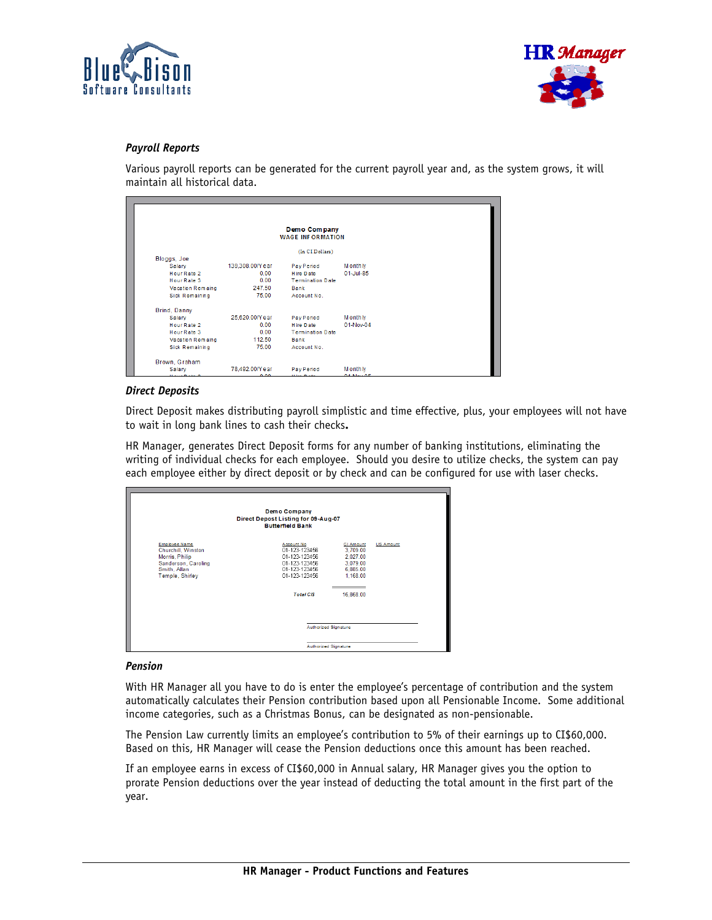



# *Payroll Reports*

Various payroll reports can be generated for the current payroll year and, as the system grows, it will maintain all historical data.

|                       |                 | Demo Company<br><b>WAGE INFORMATION</b> |                |
|-----------------------|-----------------|-----------------------------------------|----------------|
|                       |                 | (In CI Dollars)                         |                |
| Bloggs, Joe           |                 |                                         |                |
| Salary                | 139,308.00/Year | Pay Period                              | <b>Monthly</b> |
| Hour Rate 2           | 0.00            | Hire Date                               | 01-Jul-85      |
| Hour Rate 3           | 0.00            | <b>Termination Date</b>                 |                |
| Vacation Remaing      | 247.50          | Bank                                    |                |
| <b>Sick Remaining</b> | 75.00           | Account No.                             |                |
| Brind, Danny          |                 |                                         |                |
| Salary                | 25,620.00/Year  | Pay Period                              | <b>Monthly</b> |
| Hour Rate 2           | 0.00            | <b>Hire Date</b>                        | 01-Nov-04      |
| Hour Rate 3           | 0.00            | <b>Termination Date</b>                 |                |
| Vacation Remaing      | 112.50          | Bank                                    |                |
| <b>Sick Remaining</b> | 75.00           | Account No.                             |                |

## *Direct Deposits*

Direct Deposit makes distributing payroll simplistic and time effective, plus, your employees will not have to wait in long bank lines to cash their checks**.**

HR Manager, generates Direct Deposit forms for any number of banking institutions, eliminating the writing of individual checks for each employee. Should you desire to utilize checks, the system can pay each employee either by direct deposit or by check and can be configured for use with laser checks.

|                                                                                                                 | Demo Company<br>Direct Depost Listing for 09-Aug-07<br><b>Butterfield Bank</b>                                       |                                                                                           |                  |
|-----------------------------------------------------------------------------------------------------------------|----------------------------------------------------------------------------------------------------------------------|-------------------------------------------------------------------------------------------|------------------|
| Employee Name<br>Churchill, Winston<br>Morris, Philip<br>Sanderson, Caroling<br>Smith, Allan<br>Temple, Shirley | Account No.<br>01-123-123456<br>01-123-123456<br>01-123-123456<br>01-123-123456<br>01-123-123456<br><b>Total CIS</b> | <b>CI Amount</b><br>3,709.00<br>2,027.00<br>3,079.00<br>6,885.00<br>1,168.00<br>16,868.00 | <b>US Amount</b> |
|                                                                                                                 |                                                                                                                      | Authorized Signature<br>Authorized Signature                                              |                  |

#### *Pension*

With HR Manager all you have to do is enter the employee's percentage of contribution and the system automatically calculates their Pension contribution based upon all Pensionable Income. Some additional income categories, such as a Christmas Bonus, can be designated as non-pensionable.

The Pension Law currently limits an employee's contribution to 5% of their earnings up to CI\$60,000. Based on this, HR Manager will cease the Pension deductions once this amount has been reached.

If an employee earns in excess of CI\$60,000 in Annual salary, HR Manager gives you the option to prorate Pension deductions over the year instead of deducting the total amount in the first part of the year.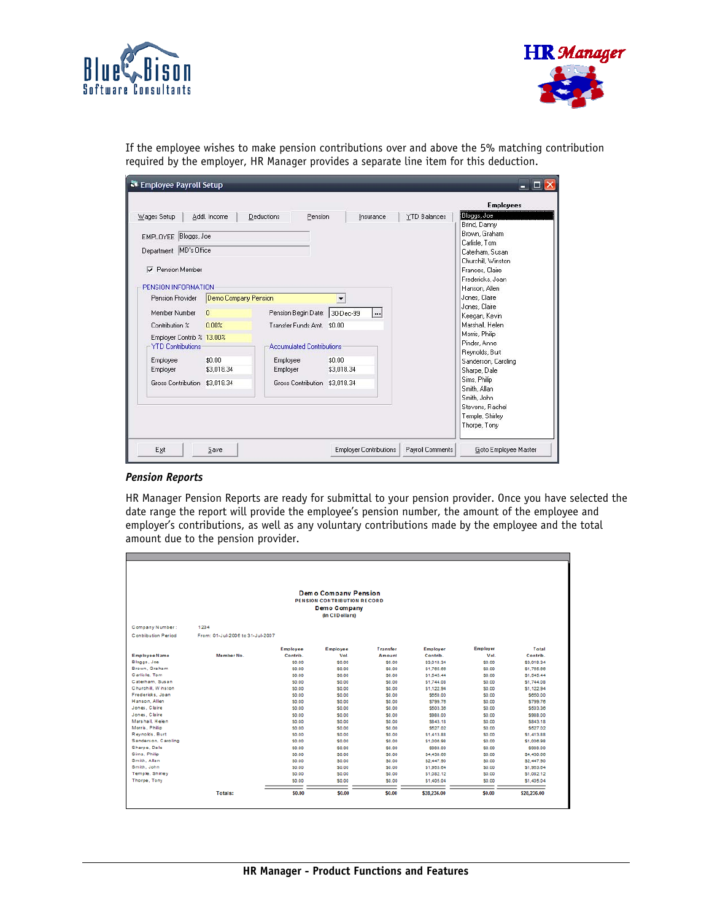



If the employee wishes to make pension contributions over and above the 5% matching contribution required by the employer, HR Manager provides a separate line item for this deduction.

|                               |                      |                                  |                      |                     | <b>Employees</b>               |
|-------------------------------|----------------------|----------------------------------|----------------------|---------------------|--------------------------------|
| Wages Setup                   | Addl. Income         | Deductions<br>Pension            | Insurance            | <b>YTD Balances</b> | Bloggs, Joe                    |
|                               |                      |                                  |                      |                     | Brind, Danny                   |
| EMPLOYEE Bloggs, Joe          |                      |                                  |                      |                     | Brown, Graham<br>Carlisle, Tom |
| Department MD's Office        |                      |                                  |                      |                     | Caterham, Susan                |
|                               |                      |                                  |                      |                     | Churchill, Winston             |
| Pension Member<br>v           |                      |                                  |                      |                     | Frances, Claire                |
|                               |                      |                                  |                      |                     | Fredericks. Joan               |
| PENSION INFORMATION           |                      |                                  |                      |                     | Hanson, Allen                  |
| Pension Provider              | Demo Company Pension |                                  | $\blacktriangledown$ |                     | Jones, Claire<br>Jones, Claire |
| Member Number                 | $\mathbf{0}$         | Pension Begin Date: 30-Dec-99    |                      |                     | Keegan, Kevin                  |
| Contribution %                | 0.00%                | Transfer Funds Amt. \$0.00       |                      | Marshall, Helen     |                                |
| Employer Contrib % 13.00%     |                      |                                  |                      |                     | Morris, Philip                 |
| <b>YTD Contributions</b>      |                      | <b>Accumulated Contributions</b> |                      |                     | Pinder, Anne                   |
|                               |                      |                                  |                      |                     | Reynolds, Burt                 |
| Employee<br>Employer          | \$0.00<br>\$3,018.34 | Employee<br>Employer             | \$0.00<br>\$3,018.34 |                     | Sanderson, Caroling            |
|                               |                      |                                  |                      |                     | Sharpe, Dale<br>Sims, Philip   |
| Gross Contribution \$3.018.34 |                      | Gross Contribution \$3.018.34    |                      |                     | Smith, Allan                   |
|                               |                      |                                  |                      |                     | Smith, John                    |
|                               |                      |                                  |                      |                     | Stevens, Rachel                |
|                               |                      |                                  |                      |                     | Temple, Shirley                |
|                               |                      |                                  |                      |                     | Thorpe, Tony                   |

### *Pension Reports*

HR Manager Pension Reports are ready for submittal to your pension provider. Once you have selected the date range the report will provide the employee's pension number, the amount of the employee and employer's contributions, as well as any voluntary contributions made by the employee and the total amount due to the pension provider.

|                            |                                  |              | <b>Demo Company Pension</b><br>PENSION CONTRIBUTION RECORD<br>Demo Company<br>(In CID ollars) |              |                |                 |             |
|----------------------------|----------------------------------|--------------|-----------------------------------------------------------------------------------------------|--------------|----------------|-----------------|-------------|
| Company Number:            | 1234                             |              |                                                                                               |              |                |                 |             |
| <b>Contribution Period</b> | From: 01-Jul-2006 to 31-Jul-2007 |              |                                                                                               |              |                |                 |             |
|                            |                                  | Employee     | Employee                                                                                      | Transfer     | Employer       | <b>Employer</b> | Total       |
| <b>Employee Name</b>       | Member No.                       | Contrib.     | Vol.                                                                                          | Amount       | Contrib.       | Vol.            | Contrib.    |
| Bloggs, Joe                |                                  | \$0.00       | \$0.00                                                                                        | \$0.00       | \$3,018.34     | \$0.00          | \$3,018.34  |
| Brown, Graham              |                                  | \$0.00       | \$0.00                                                                                        | \$0.00       | \$1,765.66     | \$0.00          | \$1,765.66  |
| Carlisle, Tom              |                                  | \$0.00       | \$0.00                                                                                        | \$0.00       | \$1,545.44     | <b>SO.00</b>    | \$1,545.44  |
| Caterham, Susan            |                                  | <b>SO.00</b> | \$0.00                                                                                        | \$0.00       | \$1,744.08     | <b>SO.00</b>    | \$1,744.08  |
| Churchill, Winston         |                                  | <b>SO.00</b> | <b>SO.00</b>                                                                                  | <b>SO.00</b> | S1.122.94      | SO.00           | \$1,122.94  |
| Fredericks, Joan           |                                  | \$0.00       | \$0.00                                                                                        | \$0.00       | \$650.00       | \$0.00          | \$650.00    |
| Hanson, Allen              |                                  | \$0.00       | \$0,00                                                                                        | \$0.00       | \$799.76       | <b>SO.00</b>    | \$799.76    |
| Jones, Claire              |                                  | \$0.00       | \$0.00                                                                                        | \$0.00       | \$503.36       | S0.00           | \$503.36    |
| Jones, Claire              |                                  | \$0.00       | \$0.00                                                                                        | \$0.00       | \$988.00       | <b>SO.00</b>    | \$988.00    |
| Marshall Helen             |                                  | <b>SO.00</b> | \$0.00                                                                                        | S0.00        | <b>S843.18</b> | <b>SO.00</b>    | \$843.18    |
| Morris, Philip             |                                  | \$0.00       | \$0.00                                                                                        | \$0.00       | \$527.02       | \$0.00          | \$527.02    |
| Revnolds, Burt             |                                  | <b>SO.00</b> | \$0.00                                                                                        | \$0.00       | \$1,413.88     | <b>SO.00</b>    | \$1,413.88  |
| Sanderson, Caroling        |                                  | \$0.00       | \$0.00                                                                                        | \$0.00       | \$1,006.98     | SO.00           | \$1,006.98  |
| Sharpe, Dale               |                                  | \$0.00       | \$0.00                                                                                        | \$0.00       | \$988.00       | S0.00           | \$988.00    |
| Sims, Philip               |                                  | <b>SO.00</b> | \$0.00                                                                                        | \$0.00       | \$4,430.66     | <b>SO.00</b>    | \$4,430.66  |
| Smith, Allan               |                                  | \$0.00       | \$0.00                                                                                        | \$0.00       | \$2,447.90     | \$0.00          | \$2,447.90  |
| Smith, John                |                                  | <b>SO.00</b> | \$0.00                                                                                        | S0.00        | \$1,953.64     | S0.00           | \$1,953.64  |
| Temple, Shirley            |                                  | \$0.00       | \$0.00                                                                                        | \$0.00       | \$1,082.12     | <b>SO.00</b>    | \$1,082.12  |
| Thorpe, Tony               |                                  | <b>SO.00</b> | \$0.00                                                                                        | \$0.00       | \$1,405.04     | <b>SO.00</b>    | \$1,405.04  |
|                            | Totals:                          | \$0.00       | \$0.00                                                                                        | \$0.00       | \$28,236.00    | \$0.00          | \$28,236.00 |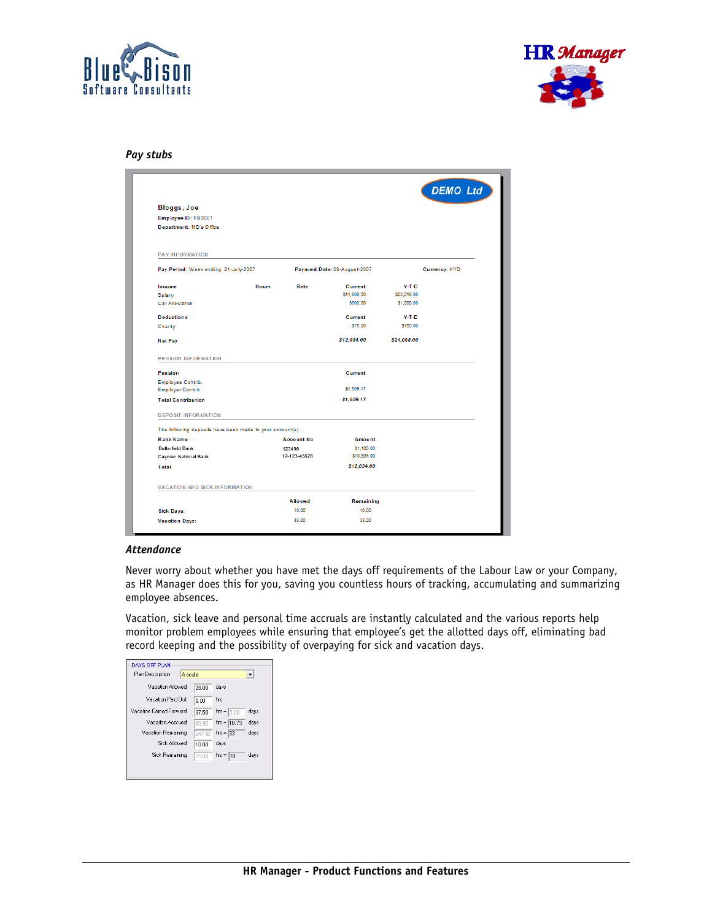



### *Pay stubs*

|                                                           |              |                   |                              |             | <b>DEMO Ltd</b> |
|-----------------------------------------------------------|--------------|-------------------|------------------------------|-------------|-----------------|
| Bloggs, Joe                                               |              |                   |                              |             |                 |
| Employee ID: PB0001                                       |              |                   |                              |             |                 |
| Department: MD's Office                                   |              |                   |                              |             |                 |
| <b>PAY INFORMATION</b>                                    |              |                   |                              |             |                 |
| Pay Period: Week ending 31-July-2007                      |              |                   | Payment Date: 09-August-2007 |             | Currency: KYD   |
| Income                                                    | <b>Hours</b> | Rate              | Current                      | $Y-T-D$     |                 |
| Salary                                                    |              |                   | \$11,609.00                  | \$23,218.00 |                 |
| Car Allowance                                             |              |                   | \$500.00                     | \$1,000.00  |                 |
| <b>Deductions</b>                                         |              |                   | Current                      | $Y-T-D$     |                 |
| Charity                                                   |              |                   | \$75.00                      | \$150.00    |                 |
| <b>Net Pay</b>                                            |              |                   | \$12,034.00                  | \$24,068.00 |                 |
| <b>PENSION INFORMATION</b>                                |              |                   |                              |             |                 |
| Pension                                                   |              |                   | Current                      |             |                 |
| Employee Contrib.                                         |              |                   |                              |             |                 |
| Employer Contrib.                                         |              |                   | \$1,509.17                   |             |                 |
| <b>Total Contribution</b>                                 |              |                   | \$1,509.17                   |             |                 |
| <b>DEPOSIT INFORMATION</b>                                |              |                   |                              |             |                 |
| The following deposits have been made to your account(s). |              |                   |                              |             |                 |
| <b>Bank Name</b>                                          |              | <b>Account No</b> | Amount                       |             |                 |
| <b>Butterfield Bank</b>                                   |              | 123456            | \$1,100.00                   |             |                 |
| Cayman National Bank                                      |              | 12-123-45678      | \$10,934.00                  |             |                 |
| Total                                                     |              |                   | \$12,034.00                  |             |                 |
| <b>VACATION AND SICK INFORMATION</b>                      |              |                   |                              |             |                 |
|                                                           |              | Allowed           | Remaining                    |             |                 |
| <b>Sick Days:</b>                                         |              | 10.00             | 10.00                        |             |                 |
|                                                           |              | 33.00             |                              |             |                 |

### *Attendance*

Never worry about whether you have met the days off requirements of the Labour Law or your Company, as HR Manager does this for you, saving you countless hours of tracking, accumulating and summarizing employee absences.

Vacation, sick leave and personal time accruals are instantly calculated and the various reports help monitor problem employees while ensuring that employee's get the allotted days off, eliminating bad record keeping and the possibility of overpaying for sick and vacation days.

| DAYS OFF PLAN               |        |                 |                          |
|-----------------------------|--------|-----------------|--------------------------|
| Plan Description<br>A-scale |        |                 | $\overline{\phantom{a}}$ |
| Vacation Allowed            | 28.00  | days            |                          |
| Vacation Paid Out           | in nn  | hrs             |                          |
| Vacation Carried Forward    | 37.50  | $hr =$<br>ls on | days                     |
| Vacation Accrued            | 80.95  | hrs = $10.79$   | days                     |
| Vacation Remaining          | 247.50 | $hrs = 33$      | days                     |
| <b>Sick Allowed</b>         | 10.00  | davs            |                          |
| Sick Remaining              | 75.00  | $hr = 10$       | days                     |
|                             |        |                 |                          |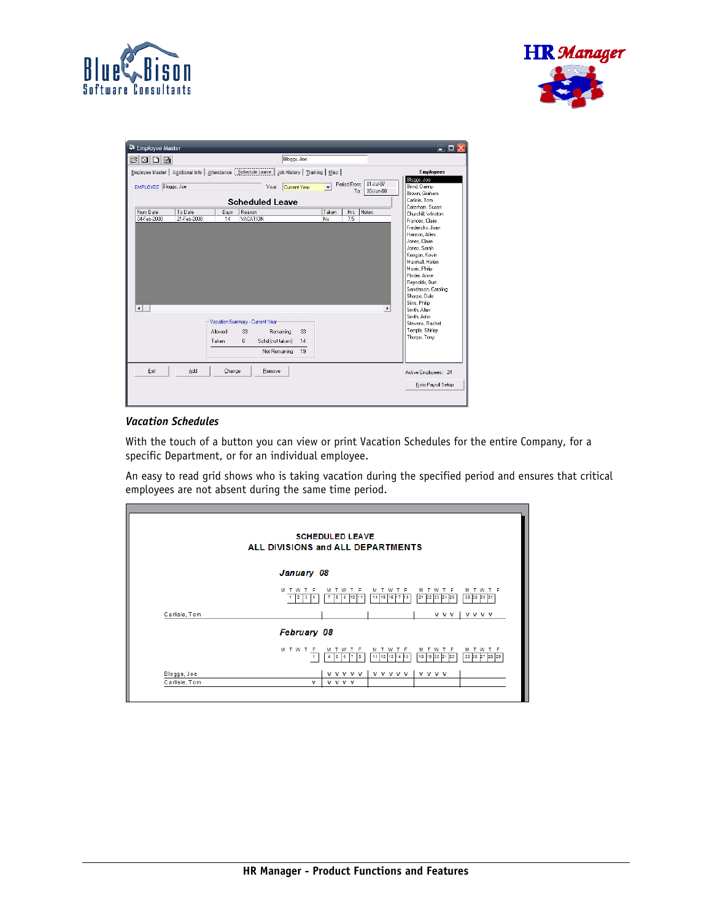



| $B$ $D$ $B$                                        |     |                                  | Bloggs, Joe                                                                                     |                          |                                                                                                 |                                                               |  |
|----------------------------------------------------|-----|----------------------------------|-------------------------------------------------------------------------------------------------|--------------------------|-------------------------------------------------------------------------------------------------|---------------------------------------------------------------|--|
|                                                    |     |                                  | Employee Master   Additional Info   Attendance   Schedule Leave   Job History   Training   Misc |                          |                                                                                                 | <b>Employees</b>                                              |  |
| EMPLOYEE Bloggs, Joe                               |     |                                  | Current Year<br>Year:                                                                           | $\overline{\phantom{a}}$ | 01-Jul-07<br>Period From:<br>To:<br>30-Jun-08                                                   | Bloggs, Joe<br>Brind, Danny<br>Brown, Graham<br>Carlisle, Tom |  |
|                                                    |     |                                  | <b>Scheduled Leave</b>                                                                          |                          |                                                                                                 | Caterham, Susan                                               |  |
| From Date<br>To Date<br>04-Feb-2008<br>21-Feb-2008 |     | Reason<br>Days<br>VACATION<br>14 |                                                                                                 |                          | Taken<br>Hrs<br>Notes<br>Churchill, Winston<br>7.5<br>No<br>Frances, Claire<br>Fredericks, Joan |                                                               |  |
|                                                    |     |                                  |                                                                                                 |                          |                                                                                                 | Hanson, Allen<br>Jones, Claire                                |  |
|                                                    |     |                                  |                                                                                                 |                          |                                                                                                 | Jones, Sarah<br>Keegan, Kevin<br>Marshall, Helen              |  |
|                                                    |     |                                  |                                                                                                 |                          |                                                                                                 | Morris, Philip<br>Pinder, Anne<br>Reynolds, Burt              |  |
|                                                    |     |                                  |                                                                                                 |                          |                                                                                                 | Sanderson, Caroling<br>Sharpe, Dale                           |  |
|                                                    |     |                                  |                                                                                                 |                          |                                                                                                 | Sims, Philip<br>¥<br>Smith, Allan<br>Smith, John              |  |
|                                                    |     |                                  | Vacation Summary - Current Year                                                                 |                          |                                                                                                 | Stevens, Rachel                                               |  |
|                                                    |     |                                  |                                                                                                 |                          |                                                                                                 |                                                               |  |
| $\left  \cdot \right $                             |     | Allowed<br>Taken                 | Remaining<br>33<br>$\mathbf{0}$<br>Schd (not taken)                                             | 33<br>14                 |                                                                                                 | Temple, Shirley<br>Thorpe, Tony                               |  |
|                                                    |     |                                  | Net Remaining                                                                                   | 19                       |                                                                                                 |                                                               |  |
| Exit                                               | Add | Change                           | Remove                                                                                          |                          |                                                                                                 | Active Employees: 24                                          |  |

## *Vacation Schedules*

With the touch of a button you can view or print Vacation Schedules for the entire Company, for a specific Department, or for an individual employee.

An easy to read grid shows who is taking vacation during the specified period and ensures that critical employees are not absent during the same time period.

|               | <b>SCHEDULED LEAVE</b><br>ALL DIVISIONS and ALL DEPARTMENTS                                                                                                           |
|---------------|-----------------------------------------------------------------------------------------------------------------------------------------------------------------------|
|               | January 08                                                                                                                                                            |
|               | M T W T F<br>w<br>w<br>T F<br>м<br>T F<br>w<br>F<br>w<br>м<br>т<br>м<br>28 29 30 31<br>$1 \t2$<br>21 22 23 24 25<br>$\vert$ 3<br>10<br>14 15 16 17 18<br>8<br>-9<br>4 |
| Carlisle, Tom | <b>VVVV</b><br><b>v</b> v v                                                                                                                                           |
|               | <b>February 08</b>                                                                                                                                                    |
|               | M T W T F<br>м<br>F<br>Е<br>я<br>м<br>F<br>W<br>т.<br>w<br>м<br>w<br>w<br>25 26 27 28 29<br>18 19 20 21 22<br>11 12 13 14<br>15<br>8<br>6<br>4<br>5                   |
| Bloggs, Joe   | v v v v v v v v v v<br><b>V V V V</b>                                                                                                                                 |
| Carlisle, Tom | <b>v</b> v v v<br>v                                                                                                                                                   |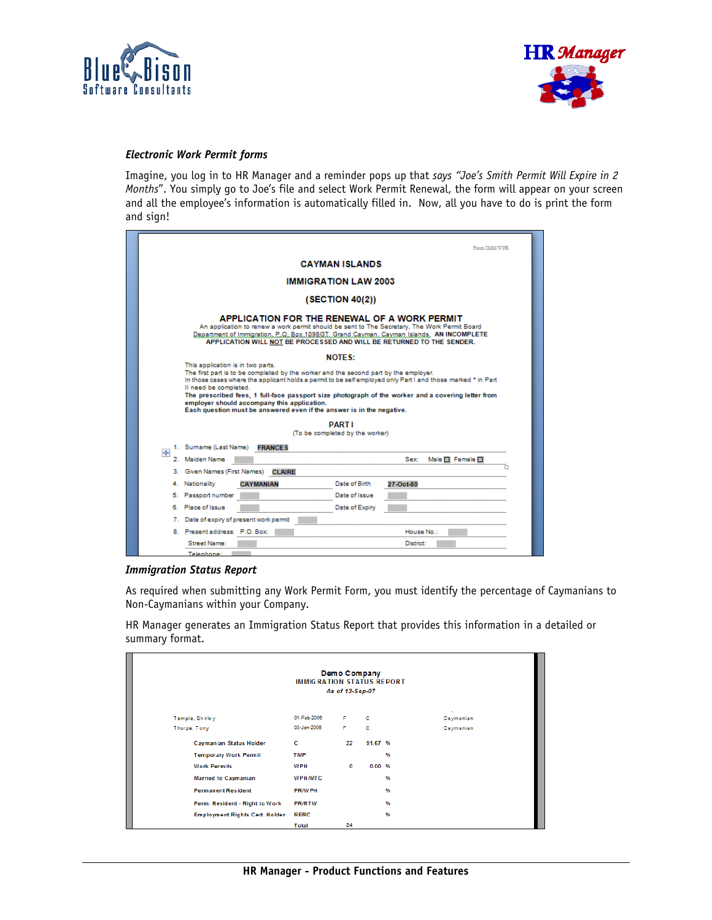



## *Electronic Work Permit forms*

Imagine, you log in to HR Manager and a reminder pops up that *says "Joe's Smith Permit Will Expire in 2 Months*". You simply go to Joe's file and select Work Permit Renewal, the form will appear on your screen and all the employee's information is automatically filled in. Now, all you have to do is print the form and sign!

|                | Form IMM/WPR                                                                                                                                                                                                                                                                                                                                                                                                                                                                                     |  |  |  |  |  |  |  |
|----------------|--------------------------------------------------------------------------------------------------------------------------------------------------------------------------------------------------------------------------------------------------------------------------------------------------------------------------------------------------------------------------------------------------------------------------------------------------------------------------------------------------|--|--|--|--|--|--|--|
|                | <b>CAYMAN ISLANDS</b>                                                                                                                                                                                                                                                                                                                                                                                                                                                                            |  |  |  |  |  |  |  |
|                | <b>IMMIGRATION LAW 2003</b>                                                                                                                                                                                                                                                                                                                                                                                                                                                                      |  |  |  |  |  |  |  |
|                | (SECTION 40(2))                                                                                                                                                                                                                                                                                                                                                                                                                                                                                  |  |  |  |  |  |  |  |
|                | APPLICATION FOR THE RENEWAL OF A WORK PERMIT<br>An application to renew a work permit should be sent to The Secretary. The Work Permit Board<br>Department of Immigration, P.Q. Box.1098GT, Grand Cayman, Cayman Islands, AN INCOMPLETE<br>APPLICATION WILL NOT BE PROCESSED AND WILL BE RETURNED TO THE SENDER.                                                                                                                                                                                 |  |  |  |  |  |  |  |
|                | <b>NOTES:</b>                                                                                                                                                                                                                                                                                                                                                                                                                                                                                    |  |  |  |  |  |  |  |
|                | This application is in two parts.<br>The first part is to be completed by the worker and the second part by the employer.<br>In those cases where the applicant holds a permit to be self employed only Part I and those marked * in Part<br>Il need be completed.<br>The prescribed fees, 1 full-face passport size photograph of the worker and a covering letter from<br>employer should accompany this application.<br>Each question must be answered even if the answer is in the negative. |  |  |  |  |  |  |  |
|                | <b>PARTI</b>                                                                                                                                                                                                                                                                                                                                                                                                                                                                                     |  |  |  |  |  |  |  |
|                | (To be completed by the worker)<br>1. Surname (Last Name) FRANCES                                                                                                                                                                                                                                                                                                                                                                                                                                |  |  |  |  |  |  |  |
| $\overline{+}$ | 2. Maiden Name<br>Female I                                                                                                                                                                                                                                                                                                                                                                                                                                                                       |  |  |  |  |  |  |  |
|                | 3. Given Names (First Names)<br><b>CLAIRE</b>                                                                                                                                                                                                                                                                                                                                                                                                                                                    |  |  |  |  |  |  |  |
|                | 4. Nationality<br>Date of Birth<br>CAYMANIAN<br>27-Oct-80                                                                                                                                                                                                                                                                                                                                                                                                                                        |  |  |  |  |  |  |  |
|                | 5. Passport number<br>Date of Issue                                                                                                                                                                                                                                                                                                                                                                                                                                                              |  |  |  |  |  |  |  |
|                | 6. Place of Issue<br>Date of Expiry                                                                                                                                                                                                                                                                                                                                                                                                                                                              |  |  |  |  |  |  |  |
|                | 7. Date of expiry of present work permit                                                                                                                                                                                                                                                                                                                                                                                                                                                         |  |  |  |  |  |  |  |
|                | 8. Present address: P.O. Box:                                                                                                                                                                                                                                                                                                                                                                                                                                                                    |  |  |  |  |  |  |  |
|                | Street Name:<br>District:<br>Telenhone                                                                                                                                                                                                                                                                                                                                                                                                                                                           |  |  |  |  |  |  |  |

#### *Immigration Status Report*

As required when submitting any Work Permit Form, you must identify the percentage of Caymanians to Non-Caymanians within your Company.

HR Manager generates an Immigration Status Report that provides this information in a detailed or summary format.

| Demo Company<br><b>IMMIGRATION STATUS REPORT</b><br>As of 13-Sep-07 |                |    |         |           |  |  |  |
|---------------------------------------------------------------------|----------------|----|---------|-----------|--|--|--|
| Temple, Shirley                                                     | 01-Feb-2006    | F  | c       | Caymanian |  |  |  |
| Thorpe, Tony                                                        | 03-Jan-2006    | F  | с       | Caymanian |  |  |  |
| Caymanian Status Holder                                             | c              | 22 | 91.67 % |           |  |  |  |
| <b>Temporary Work Permit</b>                                        | <b>TMP</b>     |    | %       |           |  |  |  |
| <b>Work Permits</b>                                                 | <b>WPH</b>     | 0  | 0.00%   |           |  |  |  |
| <b>Married to Caymanian</b>                                         | <b>WPH/MTC</b> |    | %       |           |  |  |  |
| <b>Permanent Resident</b>                                           | <b>PRAVPH</b>  |    | %       |           |  |  |  |
| Perm. Resident - Right to Work                                      | <b>PR/RTW</b>  |    | %       |           |  |  |  |
| <b>Employment Rights Cert. Holder</b>                               | <b>RERC</b>    |    | %       |           |  |  |  |
|                                                                     | Total          | 24 |         |           |  |  |  |